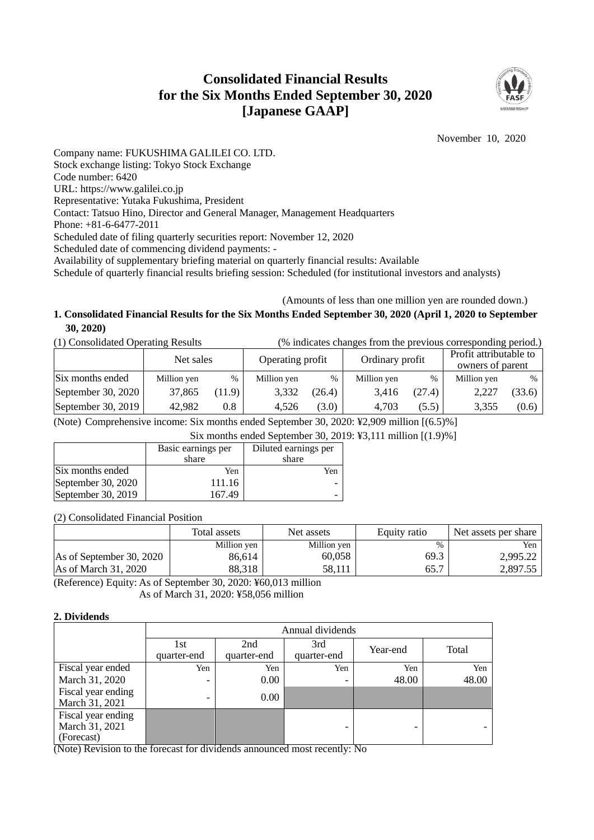# **Consolidated Financial Results for the Six Months Ended September 30, 2020 [Japanese GAAP]**



November 10, 2020

Company name: FUKUSHIMA GALILEI CO. LTD. Stock exchange listing: Tokyo Stock Exchange Code number: 6420 URL: https://www.galilei.co.jp Representative: Yutaka Fukushima, President Contact: Tatsuo Hino, Director and General Manager, Management Headquarters Phone: +81-6-6477-2011 Scheduled date of filing quarterly securities report: November 12, 2020 Scheduled date of commencing dividend payments: - Availability of supplementary briefing material on quarterly financial results: Available Schedule of quarterly financial results briefing session: Scheduled (for institutional investors and analysts)

# (Amounts of less than one million yen are rounded down.)

# **1. Consolidated Financial Results for the Six Months Ended September 30, 2020 (April 1, 2020 to September 30, 2020)**

| (1) Consolidated Operating Results |  | (% indicates changes from the previous corresponding period.) |
|------------------------------------|--|---------------------------------------------------------------|
|                                    |  |                                                               |

|                      | Net sales   |        | Operating profit |        | Ordinary profit |        | Profit attributable to<br>owners of parent |        |  |
|----------------------|-------------|--------|------------------|--------|-----------------|--------|--------------------------------------------|--------|--|
| Six months ended     | Million yen | $\%$   | Million yen      | %      | Million yen     | $\%$   | Million yen                                | %      |  |
| September 30, $2020$ | 37,865      | (11.9) | 3,332            | (26.4) | 3.416           | (27.4) | 2,227                                      | (33.6) |  |
| September 30, 2019   | 42,982      | 0.8    | 4.526            | (3.0)  | 4.703           | (5.5)  | 3,355                                      | (0.6)  |  |

(Note) Comprehensive income: Six months ended September 30, 2020: ¥2,909 million [(6.5)%]

Six months ended September 30, 2019: ¥3,111 million [(1.9)%]

|                    | Basic earnings per<br>share | Diluted earnings per<br>share |
|--------------------|-----------------------------|-------------------------------|
| Six months ended   | Yen                         | Yen                           |
| September 30, 2020 | 111.16                      |                               |
| September 30, 2019 | 167.49                      |                               |
|                    |                             |                               |

(2) Consolidated Financial Position

|                          | Total assets | Net assets  | Equity ratio | Net assets per share |
|--------------------------|--------------|-------------|--------------|----------------------|
|                          | Million yen  | Million yen | $\%$         | Yen                  |
| As of September 30, 2020 | 86.614       | 60,058      | 69.3         | 2,995.22             |
| As of March 31, 2020     | 88,318       | 58.111      | 65.7         | 2.897.55             |

(Reference) Equity: As of September 30, 2020: ¥60,013 million As of March 31, 2020: ¥58,056 million

### **2. Dividends**

|                                                    | Annual dividends         |             |                          |          |       |  |  |  |  |  |
|----------------------------------------------------|--------------------------|-------------|--------------------------|----------|-------|--|--|--|--|--|
|                                                    | 1st                      | 2nd         | 3rd                      | Year-end | Total |  |  |  |  |  |
|                                                    | quarter-end              | quarter-end | quarter-end              |          |       |  |  |  |  |  |
| Fiscal year ended                                  | Yen                      | Yen         | Yen                      | Yen      | Yen   |  |  |  |  |  |
| March 31, 2020                                     | $\overline{\phantom{0}}$ | $0.00\,$    |                          | 48.00    | 48.00 |  |  |  |  |  |
| Fiscal year ending<br>March 31, 2021               | $\overline{\phantom{0}}$ | 0.00        |                          |          |       |  |  |  |  |  |
| Fiscal year ending<br>March 31, 2021<br>(Forecast) |                          |             | $\overline{\phantom{0}}$ |          |       |  |  |  |  |  |

(Note) Revision to the forecast for dividends announced most recently: No